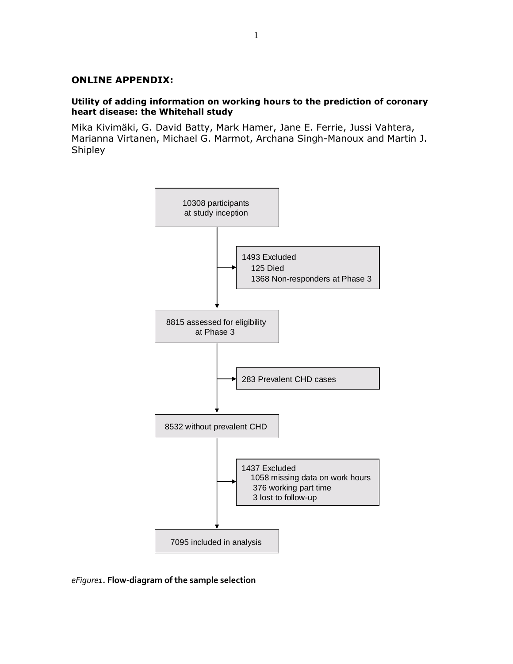## **ONLINE APPENDIX:**

## **Utility of adding information on working hours to the prediction of coronary heart disease: the Whitehall study**

Mika Kivimäki, G. David Batty, Mark Hamer, Jane E. Ferrie, Jussi Vahtera, Marianna Virtanen, Michael G. Marmot, Archana Singh-Manoux and Martin J. Shipley



*eFigure1.* **Flow-diagram of the sample selection**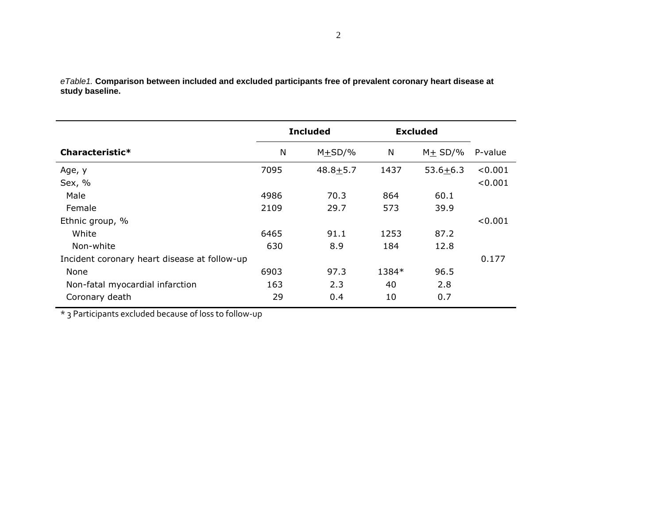*eTable1.* **Comparison between included and excluded participants free of prevalent coronary heart disease at study baseline.**

|                                              | <b>Included</b> |              | <b>Excluded</b> |              |                    |
|----------------------------------------------|-----------------|--------------|-----------------|--------------|--------------------|
| Characteristic*                              | N               | $M + SD/$ %  | N               | $M + SD/$ %  | P-value            |
| Age, y<br>Sex, %                             | 7095            | $48.8 + 5.7$ | 1437            | $53.6 + 6.3$ | < 0.001<br>< 0.001 |
| Male                                         | 4986            | 70.3         | 864             | 60.1         |                    |
| Female                                       | 2109            | 29.7         | 573             | 39.9         |                    |
| Ethnic group, %                              |                 |              |                 |              | < 0.001            |
| White                                        | 6465            | 91.1         | 1253            | 87.2         |                    |
| Non-white                                    | 630             | 8.9          | 184             | 12.8         |                    |
| Incident coronary heart disease at follow-up |                 |              |                 |              | 0.177              |
| None                                         | 6903            | 97.3         | 1384*           | 96.5         |                    |
| Non-fatal myocardial infarction              | 163             | 2.3          | 40              | 2.8          |                    |
| Coronary death                               | 29              | 0.4          | 10              | 0.7          |                    |

\* 3 Participants excluded because of loss to follow-up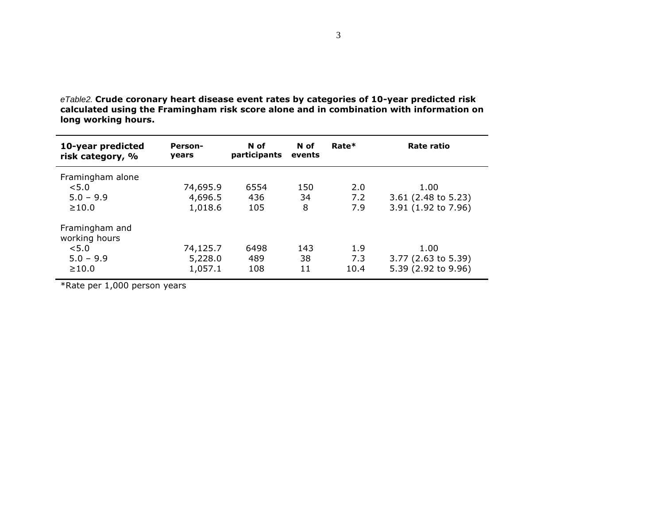| 10-year predicted<br>risk category, % | Person-<br><b>vears</b> | N of<br>participants | N of<br>events | Rate* | Rate ratio            |
|---------------------------------------|-------------------------|----------------------|----------------|-------|-----------------------|
| Framingham alone                      |                         |                      |                |       |                       |
| < 5.0                                 | 74,695.9                | 6554                 | 150            | 2.0   | 1.00                  |
| $5.0 - 9.9$                           | 4,696.5                 | 436                  | 34             | 7.2   | $3.61$ (2.48 to 5.23) |
| $\geq 10.0$                           | 1,018.6                 | 105                  | 8              | 7.9   | 3.91 (1.92 to 7.96)   |
| Framingham and<br>working hours       |                         |                      |                |       |                       |
| < 5.0                                 | 74,125.7                | 6498                 | 143            | 1.9   | 1.00                  |
| $5.0 - 9.9$                           | 5,228.0                 | 489                  | 38             | 7.3   | $3.77$ (2.63 to 5.39) |
| $\geq 10.0$                           | 1,057.1                 | 108                  | 11             | 10.4  | 5.39 (2.92 to 9.96)   |
|                                       |                         |                      |                |       |                       |

*eTable2.* **Crude coronary heart disease event rates by categories of 10-year predicted risk calculated using the Framingham risk score alone and in combination with information on long working hours.**

\*Rate per 1,000 person years